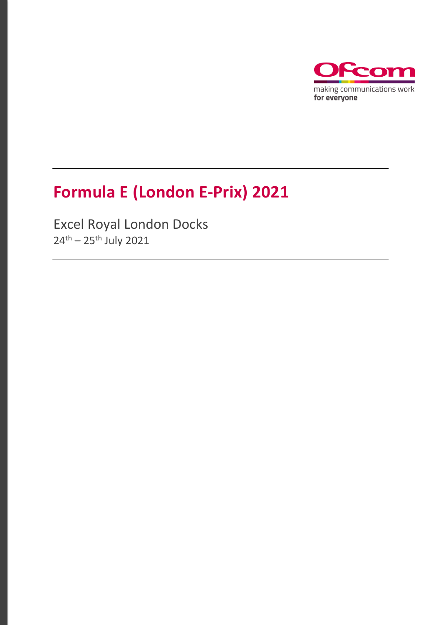

## **Formula E (London E-Prix) 2021**

Excel Royal London Docks  $24^{th} - 25^{th}$  July 2021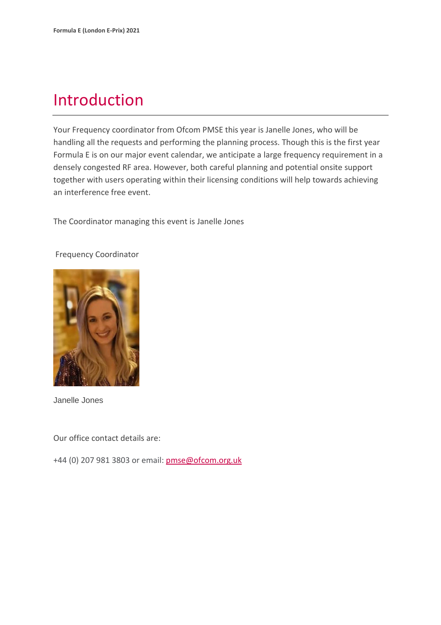### Introduction

Your Frequency coordinator from Ofcom PMSE this year is Janelle Jones, who will be handling all the requests and performing the planning process. Though this is the first year Formula E is on our major event calendar, we anticipate a large frequency requirement in a densely congested RF area. However, both careful planning and potential onsite support together with users operating within their licensing conditions will help towards achieving an interference free event.

The Coordinator managing this event is Janelle Jones

#### Frequency Coordinator



Janelle Jones

Our office contact details are:

+44 (0) 207 981 3803 or email: [pmse@ofcom.org.uk](mailto:pmse@ofcom.org.uk)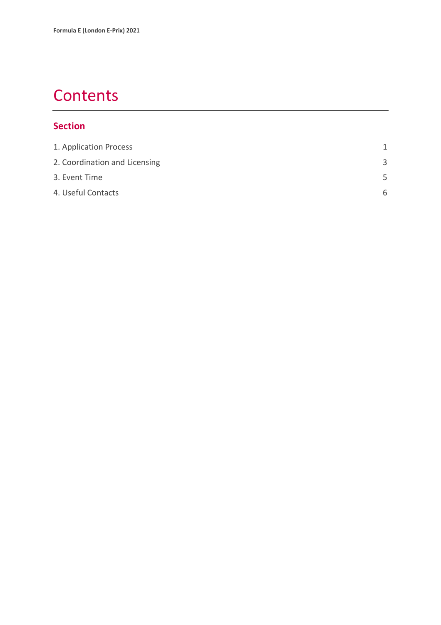### **Contents**

#### **Section**

| 1. Application Process        |   |
|-------------------------------|---|
| 2. Coordination and Licensing | 3 |
| 3. Event Time                 | 5 |
| 4. Useful Contacts            | 6 |
|                               |   |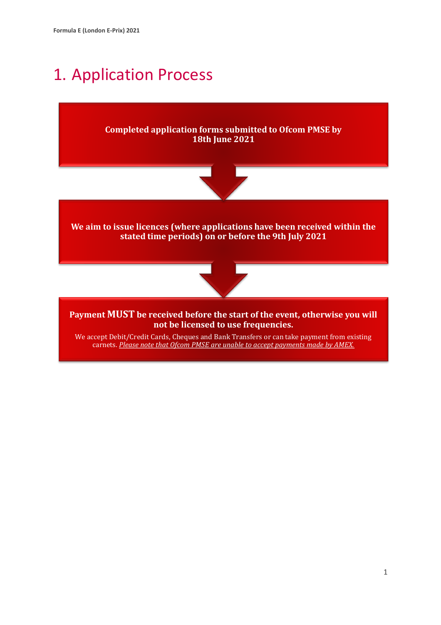### <span id="page-3-0"></span>1. Application Process

**Completed application forms submitted to Ofcom PMSE by 18th June 2021** 



**We aim to issue licences (where applications have been received within the stated time periods) on or before the 9th July 2021**



**Payment MUST be received before the start of the event, otherwise you will not be licensed to use frequencies.**

We accept Debit/Credit Cards, Cheques and Bank Transfers or can take payment from existing carnets. *Please note that Ofcom PMSE are unable to accept payments made by AMEX.*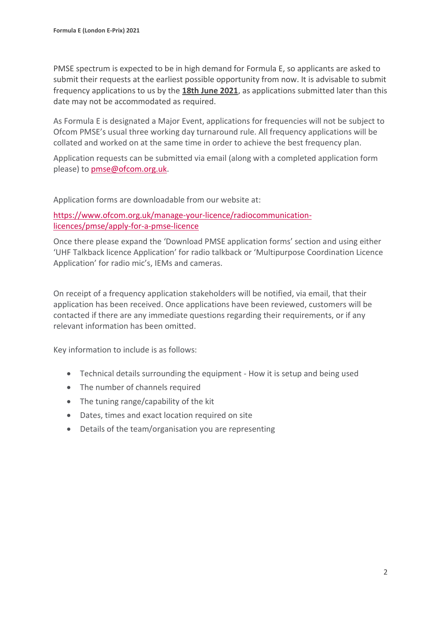PMSE spectrum is expected to be in high demand for Formula E, so applicants are asked to submit their requests at the earliest possible opportunity from now. It is advisable to submit frequency applications to us by the **18th June 2021**, as applications submitted later than this date may not be accommodated as required.

As Formula E is designated a Major Event, applications for frequencies will not be subject to Ofcom PMSE's usual three working day turnaround rule. All frequency applications will be collated and worked on at the same time in order to achieve the best frequency plan.

Application requests can be submitted via email (along with a completed application form please) to [pmse@ofcom.org.uk.](mailto:pmse@ofcom.org.uk)

Application forms are downloadable from our website at:

[https://www.ofcom.org.uk/manage-your-licence/radiocommunication](https://www.ofcom.org.uk/manage-your-licence/radiocommunication-licences/pmse/apply-for-a-pmse-licence)[licences/pmse/apply-for-a-pmse-licence](https://www.ofcom.org.uk/manage-your-licence/radiocommunication-licences/pmse/apply-for-a-pmse-licence)

Once there please expand the 'Download PMSE application forms' section and using either 'UHF Talkback licence Application' for radio talkback or 'Multipurpose Coordination Licence Application' for radio mic's, IEMs and cameras.

On receipt of a frequency application stakeholders will be notified, via email, that their application has been received. Once applications have been reviewed, customers will be contacted if there are any immediate questions regarding their requirements, or if any relevant information has been omitted.

Key information to include is as follows:

- Technical details surrounding the equipment How it is setup and being used
- The number of channels required
- The tuning range/capability of the kit
- Dates, times and exact location required on site
- Details of the team/organisation you are representing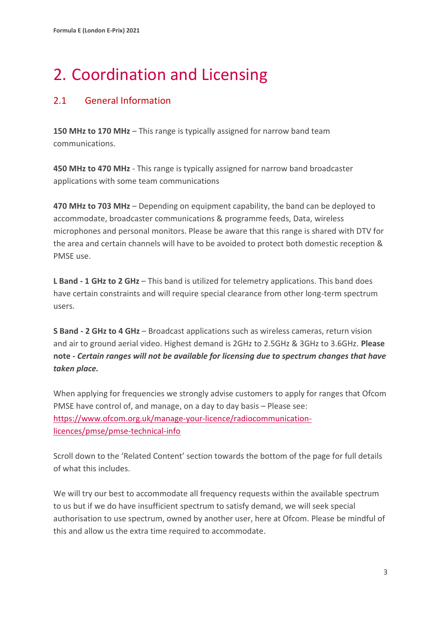# <span id="page-5-0"></span>2. Coordination and Licensing

#### 2.1 General Information

**150 MHz to 170 MHz** – This range is typically assigned for narrow band team communications.

**450 MHz to 470 MHz** - This range is typically assigned for narrow band broadcaster applications with some team communications

**470 MHz to 703 MHz** – Depending on equipment capability, the band can be deployed to accommodate, broadcaster communications & programme feeds, Data, wireless microphones and personal monitors. Please be aware that this range is shared with DTV for the area and certain channels will have to be avoided to protect both domestic reception & PMSE use.

**L Band - 1 GHz to 2 GHz** – This band is utilized for telemetry applications. This band does have certain constraints and will require special clearance from other long-term spectrum users.

**S Band - 2 GHz to 4 GHz** – Broadcast applications such as wireless cameras, return vision and air to ground aerial video. Highest demand is 2GHz to 2.5GHz & 3GHz to 3.6GHz. **Please note -** *Certain ranges will not be available for licensing due to spectrum changes that have taken place.*

When applying for frequencies we strongly advise customers to apply for ranges that Ofcom PMSE have control of, and manage, on a day to day basis – Please see: [https://www.ofcom.org.uk/manage-your-licence/radiocommunication](https://www.ofcom.org.uk/manage-your-licence/radiocommunication-licences/pmse/pmse-technical-info)[licences/pmse/pmse-technical-info](https://www.ofcom.org.uk/manage-your-licence/radiocommunication-licences/pmse/pmse-technical-info)

Scroll down to the 'Related Content' section towards the bottom of the page for full details of what this includes.

We will try our best to accommodate all frequency requests within the available spectrum to us but if we do have insufficient spectrum to satisfy demand, we will seek special authorisation to use spectrum, owned by another user, here at Ofcom. Please be mindful of this and allow us the extra time required to accommodate.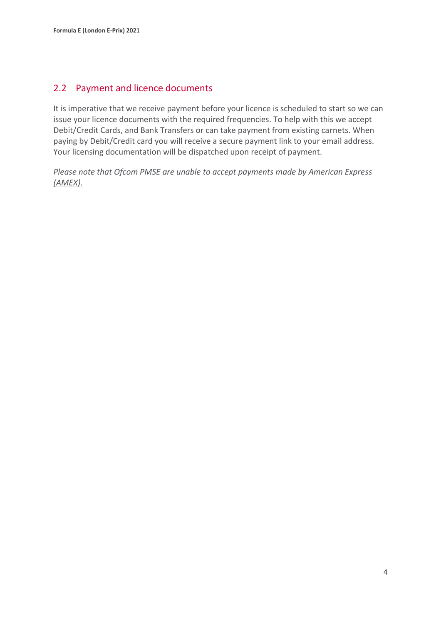#### 2.2 Payment and licence documents

It is imperative that we receive payment before your licence is scheduled to start so we can issue your licence documents with the required frequencies. To help with this we accept Debit/Credit Cards, and Bank Transfers or can take payment from existing carnets. When paying by Debit/Credit card you will receive a secure payment link to your email address. Your licensing documentation will be dispatched upon receipt of payment.

*Please note that Ofcom PMSE are unable to accept payments made by American Express (AMEX).*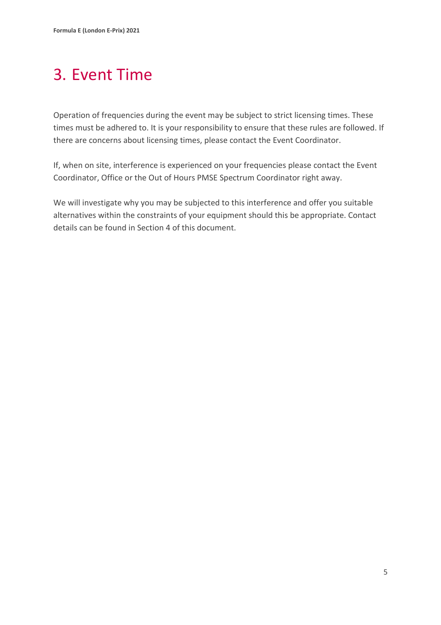# <span id="page-7-0"></span>3. Event Time

Operation of frequencies during the event may be subject to strict licensing times. These times must be adhered to. It is your responsibility to ensure that these rules are followed. If there are concerns about licensing times, please contact the Event Coordinator.

If, when on site, interference is experienced on your frequencies please contact the Event Coordinator, Office or the Out of Hours PMSE Spectrum Coordinator right away.

We will investigate why you may be subjected to this interference and offer you suitable alternatives within the constraints of your equipment should this be appropriate. Contact details can be found in Section 4 of this document.